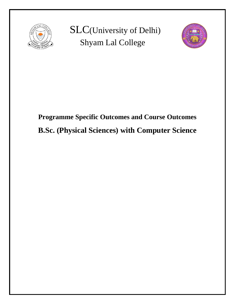

 SLC(University of Delhi) Shyam Lal College



# **Programme Specific Outcomes and Course Outcomes B.Sc. (Physical Sciences) with Computer Science**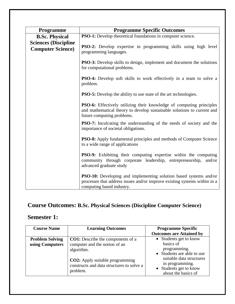| <b>Programme</b>                                         | <b>Programme Specific Outcomes</b>                                                                                                                                                                    |  |
|----------------------------------------------------------|-------------------------------------------------------------------------------------------------------------------------------------------------------------------------------------------------------|--|
| <b>B.Sc. Physical</b>                                    | PSO-1: Develop theoretical foundations in computer science.                                                                                                                                           |  |
| <b>Sciences (Discipline</b><br><b>Computer Science</b> ) | <b>PSO-2:</b> Develop expertise in programming skills using high level<br>programming languages.                                                                                                      |  |
|                                                          | <b>PSO-3:</b> Develop skills to design, implement and document the solutions<br>for computational problems.<br><b>PSO-4:</b> Develop soft skills to work effectively in a team to solve a<br>problem. |  |
|                                                          |                                                                                                                                                                                                       |  |
|                                                          | <b>PSO-5:</b> Develop the ability to use state of the art technologies.                                                                                                                               |  |
|                                                          | PSO-6: Effectively utilizing their knowledge of computing principles<br>and mathematical theory to develop sustainable solutions to current and<br>future computing problems.                         |  |
|                                                          | <b>PSO-7:</b> Inculcating the understanding of the needs of society and the<br>importance of societal obligations.                                                                                    |  |
|                                                          | PSO-8: Apply fundamental principles and methods of Computer Science<br>to a wide range of applications                                                                                                |  |
|                                                          | <b>PSO-9:</b> Exhibiting their computing expertise within the computing<br>community through corporate leadership, entrepreneurship, and/or<br>advanced graduate study                                |  |
|                                                          | <b>PSO-10:</b> Developing and implementing solution based systems and/or<br>processes that address issues and/or improve existing systems within in a<br>computing based industry.                    |  |

# **Course Outcomes: B.Sc. Physical Sciences (Discipline Computer Science)**

### **Semester 1:**

| <b>Course Name</b>                        | <b>Learning Outcomes</b>                                                                                                                                                                   | <b>Programme Specific</b>                                                                                                                                                         |
|-------------------------------------------|--------------------------------------------------------------------------------------------------------------------------------------------------------------------------------------------|-----------------------------------------------------------------------------------------------------------------------------------------------------------------------------------|
|                                           |                                                                                                                                                                                            | <b>Outcomes are Attained by</b>                                                                                                                                                   |
| <b>Problem Solving</b><br>using Computers | <b>CO1:</b> Describe the components of a<br>computer and the notion of an<br>algorithm.<br><b>CO2:</b> Apply suitable programming<br>constructs and data structures to solve a<br>problem. | • Students get to know<br>basics of<br>programming.<br>• Students are able to use<br>suitable data structures<br>in programming.<br>• Students get to know<br>about the basics of |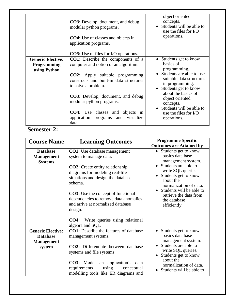|                                                                | CO3: Develop, document, and debug<br>modular python programs.<br><b>CO4:</b> Use of classes and objects in<br>application programs.<br><b>CO5:</b> Use of files for I/O operations.                                                                                                                                                                           | object oriented<br>concepts.<br>• Students will be able to<br>use the files for I/O<br>operations.                                                                                                                                                                                       |
|----------------------------------------------------------------|---------------------------------------------------------------------------------------------------------------------------------------------------------------------------------------------------------------------------------------------------------------------------------------------------------------------------------------------------------------|------------------------------------------------------------------------------------------------------------------------------------------------------------------------------------------------------------------------------------------------------------------------------------------|
| <b>Generic Elective:</b><br><b>Programming</b><br>using Python | <b>CO1:</b> Describe the components of a<br>computer and notion of an algorithm.<br><b>CO2:</b> Apply suitable programming<br>constructs and built-in data structures<br>to solve a problem.<br><b>CO3:</b> Develop, document, and debug<br>modular python programs.<br><b>CO4:</b> Use classes and objects in<br>application programs and visualize<br>data. | • Students get to know<br>basics of<br>programming.<br>• Students are able to use<br>suitable data structures<br>in programming.<br>• Students get to know<br>about the basics of<br>object oriented<br>concepts.<br>• Students will be able to<br>use the files for $VO$<br>operations. |

### **Semester 2:**

| <b>Course Name</b>                                                         | <b>Learning Outcomes</b>                                                                                                                                                                                                                                                                                                          | <b>Programme Specific</b><br><b>Outcomes are Attained by</b>                                                                                                                                                                                                            |
|----------------------------------------------------------------------------|-----------------------------------------------------------------------------------------------------------------------------------------------------------------------------------------------------------------------------------------------------------------------------------------------------------------------------------|-------------------------------------------------------------------------------------------------------------------------------------------------------------------------------------------------------------------------------------------------------------------------|
| <b>Database</b><br><b>Management</b><br><b>Systems</b>                     | <b>CO1:</b> Use database management<br>system to manage data.<br><b>CO2:</b> Create entity relationship<br>diagrams for modeling real-life<br>situations and design the database<br>schema.<br><b>CO3:</b> Use the concept of functional<br>dependencies to remove data anomalies<br>and arrive at normalized database<br>design. | Students get to know<br>basics data base<br>management system.<br>• Students are able to<br>write SQL queries.<br>• Students get to know<br>about the<br>normalization of data.<br>• Students will be able to<br>retrieve the data from<br>the database<br>efficiently. |
|                                                                            | Write queries using relational<br><b>CO4:</b><br>algebra and SQL.                                                                                                                                                                                                                                                                 |                                                                                                                                                                                                                                                                         |
| <b>Generic Elective:</b><br><b>Database</b><br><b>Management</b><br>system | <b>CO1:</b> Describe the features of database<br>management systems.<br><b>CO2:</b> Differentiate between database<br>systems and file systems.<br><b>CO3:</b> Model an application's data<br>requirements<br>using<br>conceptual<br>modelling tools like ER diagrams and                                                         | • Students get to know<br>basics data base<br>management system.<br>• Students are able to<br>write SQL queries.<br>• Students get to know<br>about the<br>normalization of data.<br>Students will be able to                                                           |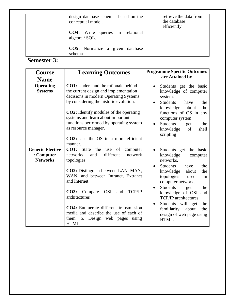| design database schemas based on the<br>conceptual model. | retrieve the data from<br>the database<br>efficiently. |
|-----------------------------------------------------------|--------------------------------------------------------|
| <b>CO4:</b> Write queries in relational<br>algebra / SQL. |                                                        |
| <b>CO5:</b> Normalize a given database<br>schema          |                                                        |

#### **Semester 3:**

| <b>Course</b>                                            | <b>Learning Outcomes</b>                                                                                                                                                                                                                                                                                                                                                                         | <b>Programme Specific Outcomes</b>                                                                                                                                                                                                                                                                                                                                                                           |
|----------------------------------------------------------|--------------------------------------------------------------------------------------------------------------------------------------------------------------------------------------------------------------------------------------------------------------------------------------------------------------------------------------------------------------------------------------------------|--------------------------------------------------------------------------------------------------------------------------------------------------------------------------------------------------------------------------------------------------------------------------------------------------------------------------------------------------------------------------------------------------------------|
| <b>Name</b>                                              |                                                                                                                                                                                                                                                                                                                                                                                                  | are Attained by                                                                                                                                                                                                                                                                                                                                                                                              |
| <b>Operating</b><br><b>Systems</b>                       | <b>CO1:</b> Understand the rationale behind<br>the current design and implementation<br>decisions in modern Operating Systems<br>by considering the historic evolution.<br><b>CO2:</b> Identify modules of the operating<br>systems and learn about important<br>functions performed by operating system<br>as resource manager.<br><b>CO3:</b> Use the OS in a more efficient<br>manner.        | Students get the basic<br>$\bullet$<br>knowledge of computer<br>system.<br><b>Students</b><br>have<br>the<br>$\bullet$<br>knowledge<br>about<br>the<br>functions of OS in any<br>computer system.<br><b>Students</b><br>the<br>$\bullet$<br>get<br>knowledge<br>of<br>shell<br>scripting                                                                                                                     |
| <b>Generic Elective</b><br>: Computer<br><b>Networks</b> | CO1: State<br>the<br>use of<br>computer<br>different<br>network<br>networks<br>and<br>topologies.<br>CO2: Distinguish between LAN, MAN,<br>WAN, and between Intranet, Extranet<br>and Internet.<br><b>OSI</b><br>TCP/IP<br>CO3: Compare<br>and<br>architectures<br>CO4: Enumerate different transmission<br>media and describe the use of each of<br>them. 5. Design web pages<br>using<br>HTML. | Students get the basic<br>$\bullet$<br>knowledge<br>computer<br>networks.<br>Students<br>have<br>the<br>$\bullet$<br>knowledge<br>about<br>the<br>topologies<br>used<br>in<br>computer networks.<br><b>Students</b><br>the<br>get<br>$\bullet$<br>knowledge of OSI and<br>TCP/IP architectures.<br>Students will get<br>the<br>$\bullet$<br>familiarity<br>about<br>the<br>design of web page using<br>HTML. |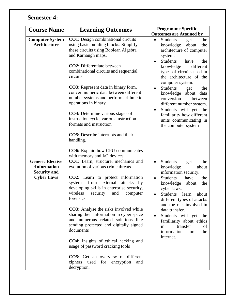# **Semester 4:**

| <b>Course Name</b>                                             | <b>Learning Outcomes</b>                                                                                                                                                                 | <b>Programme Specific</b><br><b>Outcomes are Attained by</b>                                                                                                     |
|----------------------------------------------------------------|------------------------------------------------------------------------------------------------------------------------------------------------------------------------------------------|------------------------------------------------------------------------------------------------------------------------------------------------------------------|
| <b>Computer System</b><br><b>Architecture</b>                  | <b>CO1:</b> Design combinational circuits<br>using basic building blocks. Simplify<br>these circuits using Boolean Algebra<br>and Karnaugh maps.                                         | <b>Students</b><br>the<br>$\bullet$<br>get<br>knowledge<br>about<br>the<br>architecture of computer<br>system.<br><b>Students</b><br>have<br>the<br>$\bullet$    |
|                                                                | <b>CO2</b> : Differentiate between<br>combinational circuits and sequential<br>circuits.                                                                                                 | knowledge<br>different<br>types of circuits used in<br>the architecture of the<br>computer system.                                                               |
|                                                                | <b>CO3:</b> Represent data in binary form,<br>convert numeric data between different<br>number systems and perform arithmetic<br>operations in binary.                                   | Students<br>the<br>get<br>knowledge<br>about<br>data<br>conversion<br>between<br>different number system.<br>Students will get the                               |
|                                                                | <b>CO4</b> : Determine various stages of<br>instruction cycle, various instruction<br>formats and instruction                                                                            | $\bullet$<br>familiarity how different<br>units communicating in<br>the computer system                                                                          |
|                                                                | <b>CO5</b> : Describe interrupts and their<br>handling.                                                                                                                                  |                                                                                                                                                                  |
|                                                                | <b>CO6:</b> Explain how CPU communicates<br>with memory and I/O devices.                                                                                                                 |                                                                                                                                                                  |
| <b>Generic Elective</b><br>:Information<br><b>Security and</b> | CO1: Learn, structure, mechanics and<br>evolution of various crime threats                                                                                                               | <b>Students</b><br>the<br>$\bullet$<br>get<br>knowledge<br>about<br>information security.                                                                        |
| <b>Cyber Laws</b>                                              | <b>CO2:</b> Learn to protect information<br>systems from external<br>attacks<br>by<br>developing skills in enterprise security,<br>wireless<br>security<br>and<br>computer<br>forensics. | <b>Students</b><br>have<br>the<br>$\bullet$<br>knowledge<br>about<br>the<br>cyber laws.<br><b>Students</b><br>learn<br>about<br>different types of attacks       |
|                                                                | <b>CO3:</b> Analyse the risks involved while<br>sharing their information in cyber space<br>and numerous related solutions like<br>sending protected and digitally signed<br>documents   | and the risk involved in<br>data transfer.<br>Students will get the<br>$\bullet$<br>familiarity about ethics<br>transfer<br>in<br>of<br>information<br>the<br>on |
|                                                                | CO4: Insights of ethical hacking and<br>usage of password cracking tools                                                                                                                 | internet.                                                                                                                                                        |
|                                                                | CO5: Get an overview of different<br>ciphers<br>used<br>for<br>encryption<br>and<br>decryption.                                                                                          |                                                                                                                                                                  |